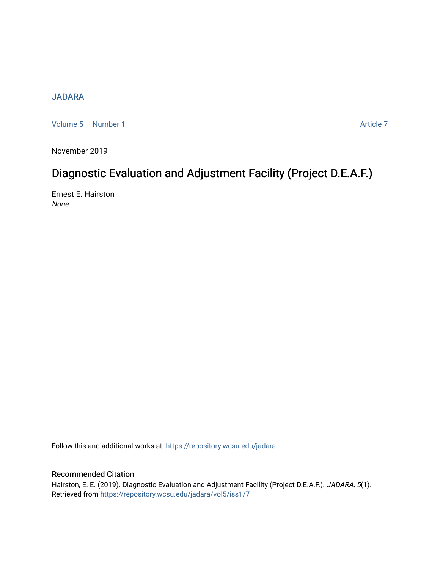## [JADARA](https://repository.wcsu.edu/jadara)

[Volume 5](https://repository.wcsu.edu/jadara/vol5) | [Number 1](https://repository.wcsu.edu/jadara/vol5/iss1) Article 7

November 2019

# Diagnostic Evaluation and Adjustment Facility (Project D.E.A.F.)

Ernest E. Hairston None

Follow this and additional works at: [https://repository.wcsu.edu/jadara](https://repository.wcsu.edu/jadara?utm_source=repository.wcsu.edu%2Fjadara%2Fvol5%2Fiss1%2F7&utm_medium=PDF&utm_campaign=PDFCoverPages)

### Recommended Citation

Hairston, E. E. (2019). Diagnostic Evaluation and Adjustment Facility (Project D.E.A.F.). JADARA, 5(1). Retrieved from [https://repository.wcsu.edu/jadara/vol5/iss1/7](https://repository.wcsu.edu/jadara/vol5/iss1/7?utm_source=repository.wcsu.edu%2Fjadara%2Fvol5%2Fiss1%2F7&utm_medium=PDF&utm_campaign=PDFCoverPages)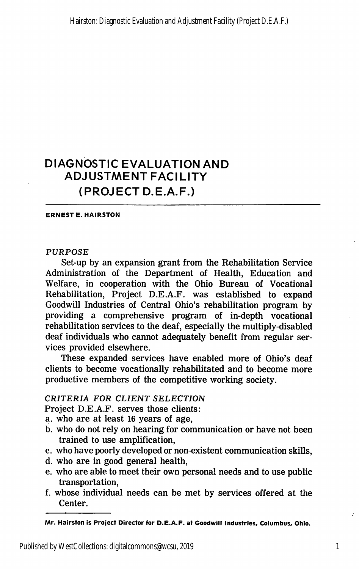## DIAGNOSTIC EVALUATION AND ADJUSTMENT FACILITY (PROJECT D.E.A.F.)

ERNEST E. HAIRSTON

#### PURPOSE

Set-up by an expansion grant from the Rehabilitation Service Administration of the Department of Health, Education and Welfare, in cooperation with the Ohio Bureau of Vocational Rehabilitation, Project D.E.A.F. was established to expand Goodwill Industries of Central Ohio's rehabilitation program by providing a comprehensive program of in-depth vocational rehabilitation services to the deaf, especially the multiply-disabled deaf individuals who cannot adequately benefit from regular ser vices provided elsewhere.

These expanded services have enabled more of Ohio's deaf clients to become vocationally rehabilitated and to become more productive members of the competitive working society.

#### CRITERIA FOR CLIENT SELECTION

Project D.E.A.F. serves those clients:

- a. who are at least 16 years of age,
- b. who do not rely on hearing for communication or have not been trained to use amplification,
- c. who have poorly developed or non-existent communication skills,
- d. who are in good general health,
- e. who are able to meet their own personal needs and to use public transportation,
- f. whose individual needs can be met by services offered at the Center.

Mr. Hairston is Project Director for D.E.A.F. at Goodwill Industries, Columbus, Ohio.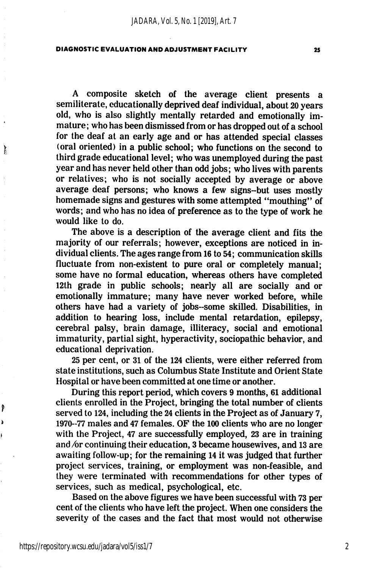A composite sketch of the average client presents a semiliterate, educationally deprived deaf individual, about 20 years old, who is also slightly mentally retarded and emotionally im mature; who has been dismissed from or has dropped out of a school for the deaf at an early age and or has attended special classes (oral oriented) in a public school; who functions on the second to third grade educational level; who was unemployed during the past year and has never held other than odd jobs; who lives with parents or relatives; who is not socially accepted by average or above average deaf persons; who knows a few signs-but uses mostly homemade signs and gestures with some attempted "mouthing" of words; and who has no idea of preference as to the type of work he would like to do.

The above is a description of the average client and fits the majority of our referrals; however, exceptions are noticed in in dividual clients. The ages range from 16 to 54; communication skills fluctuate from non-existent to pure oral or completely manual; some have no formal education, whereas others have completed 12th grade in public schools; nearly all are socially and or emotionally immature; many have never worked before, while others have had a variety of jobs-some skilled. Disabilities, in addition to hearing loss, include mental retardation, epilepsy, cerebral palsy, brain damage, illiteracy, social and emotional immaturity, partial sight, hyperactivity, sociopathic behavior, and educational deprivation.

25 per cent, or 31 of the 124 clients, were either referred from state institutions, such as Columbus State Institute and Orient State Hospital or have been committed at one time or another.

During this report period, which covers 9 months, 61 additional clients enrolled in the Project, bringing the total number of clients served to 124, including the 24 clients in the Project as of January 7, 1970-77 males and 47 females. OF the 100 clients who are no longer with the Project, 47 are successfully employed, 23 are in training and  $\alpha$  continuing their education, 3 became housewives, and 13 are awaiting follow-up; for the remaining 14 it was judged that further project services, training, or employment was non-feasible, and they were terminated with recommendations for other types of services, such as medical, psychological, etc.

Based on the above figures we have been successful with 73 per cent of the clients who have left the project. When one considers the severity of the cases and the fact that most would not otherwise

₿

Ĵ

2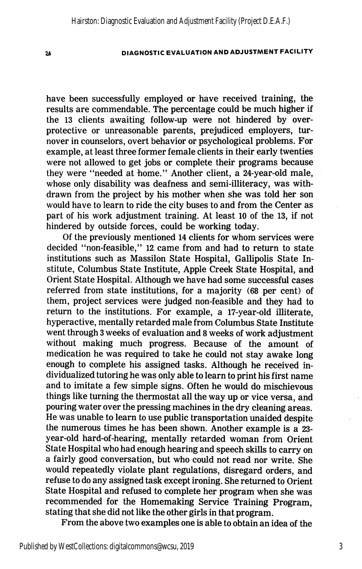have been successfully employed or have received training, the results are commendable. The percentage could be much higher if the 13 clients awaiting follow-up were not hindered by overprotective or unreasonable parents, prejudiced employers, tur nover in counselors, overt behavior or psychological problems. For example, at least three former female clients in their early twenties were not allowed to get jobs or complete their programs because they were "needed at home." Another client, a 24-year-old male, whose only disability was deafness and semi-illiteracy, was with drawn from the project by his mother when she was told her son would have to learn to ride the city buses to and from the Center as part of his work adjustment training. At least 10 of the 13, if not hindered by outside forces, could be working today.

Of the previously mentioned 14 clients for whom services were decided "non-feasible," 12. came from and had to return to state institutions such as Massilon State Hospital, Gallipolis State In stitute, Columbus State Institute, Apple Creek State Hospital, and Orient State Hospital. Although we have had some successful cases referred from state institutions, for a majority (68 per cent) of them, project services were judged non-feasible and they had to return to the institutions. For example, a 17-year-old illiterate, hyperactive, mentally retarded male from Columbus State Institute went through 3 weeks of evaluation and 8 weeks of work adjustment without making much progress. Because of the amount of medication he was required to take he could not stay awake long enough to complete his assigned tasks. Although he received in dividualized tutoring he was only able to learn to print his first name and to imitate a few simple signs. Often he would do mischievous things like turning the thermostat all the way up or vice versa, and pouring water over the pressing machines in the dry cleaning areas. He was unable to learn to use public transportation unaided despite the numerous times he has been shown. Another example is a 23 year-old hard-of-hearing, mentally retarded woman from Orient State Hospital who had enough hearing and speech skills to carry on a fairly good conversation, but who could not read nor write. She would repeatedly violate plant regulations, disregard orders, and refuse to do any assigned task except ironing. She returned to Orient State Hospital and refused to complete her program when she was recommended for the Homemaking Service Training Program, stating that she did not like the other girls in that program.

From the above two examples one is able to obtain an idea of the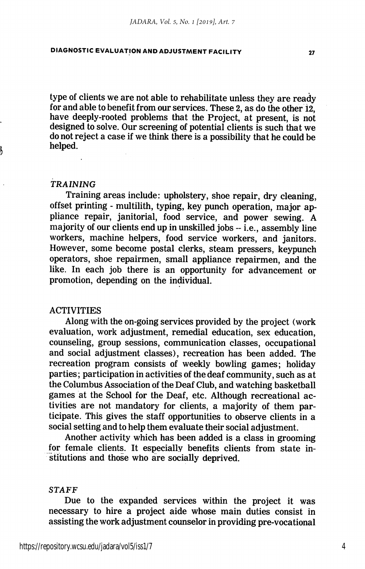type of clients we are not able to rehabilitate unless they are ready for and able to benefit from our services. These 2, as do the other 12, have deeply-rooted problems that the Project, at present, is not designed to solve. Our screening of potential clients is such that we do not reject a case if we think there is a possibility that he could be helped.

#### TRAINING

Training areas include: upholstery, shoe repair, dry cleaning, offset printing - multilith, typing, key punch operation, major ap pliance repair, janitorial, food service, and power sewing. A majority of our clients end up in unskilled jobs  $-$  i.e., assembly line workers, machine helpers, food service workers, and janitors. However, some become postal clerks, steam pressers, keypunch operators, shoe repairmen, small appliance repairmen, and the like. In each job there is an opportunity for advancement or promotion, depending on the individual.

#### ACTIVITIES

Along with the on-going services provided by the project (work evaluation, work adjustment, remedial education, sex education, counseling, group sessions, communication classes, occupational and social adjustment classes), recreation has been added. The recreation program consists of weekly bowling games; holiday parties; participation in activities of the deaf community, such as at the Columbus Association of the Deaf Club, and watching basketball games at the School for the Deaf, etc. Although recreational ac tivities are not mandatory for clients, a majority of them par ticipate. This gives the staff opportunities to observe clients in a social setting and to help them evaluate their social adjustment.

Another activity which has been added is a class in grooming for female clients. It especially benefits clients from state in stitutions and those who are socially deprived.

#### STAFF

Due to the expanded services within the project it was necessary to hire a project aide whose main duties consist in assisting the work adjustment counselor in providing pre-vocational

4